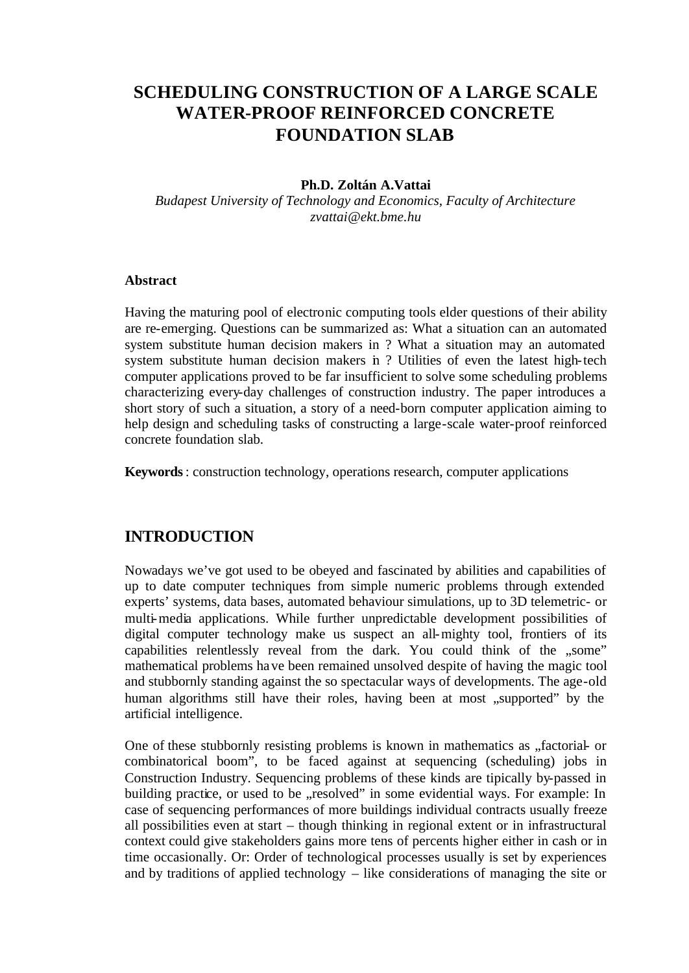# **SCHEDULING CONSTRUCTION OF A LARGE SCALE WATER-PROOF REINFORCED CONCRETE FOUNDATION SLAB**

#### **Ph.D. Zoltán A.Vattai**

*Budapest University of Technology and Economics, Faculty of Architecture zvattai@ekt.bme.hu*

#### **Abstract**

Having the maturing pool of electronic computing tools elder questions of their ability are re-emerging. Questions can be summarized as: What a situation can an automated system substitute human decision makers in ? What a situation may an automated system substitute human decision makers in ? Utilities of even the latest high-tech computer applications proved to be far insufficient to solve some scheduling problems characterizing every-day challenges of construction industry. The paper introduces a short story of such a situation, a story of a need-born computer application aiming to help design and scheduling tasks of constructing a large-scale water-proof reinforced concrete foundation slab.

**Keywords**: construction technology, operations research, computer applications

#### **INTRODUCTION**

Nowadays we've got used to be obeyed and fascinated by abilities and capabilities of up to date computer techniques from simple numeric problems through extended experts' systems, data bases, automated behaviour simulations, up to 3D telemetric- or multi-media applications. While further unpredictable development possibilities of digital computer technology make us suspect an all-mighty tool, frontiers of its capabilities relentlessly reveal from the dark. You could think of the "some" mathematical problems have been remained unsolved despite of having the magic tool and stubbornly standing against the so spectacular ways of developments. The age-old human algorithms still have their roles, having been at most "supported" by the artificial intelligence.

One of these stubbornly resisting problems is known in mathematics as "factorial- or combinatorical boom", to be faced against at sequencing (scheduling) jobs in Construction Industry. Sequencing problems of these kinds are tipically by-passed in building practice, or used to be "resolved" in some evidential ways. For example: In case of sequencing performances of more buildings individual contracts usually freeze all possibilities even at start – though thinking in regional extent or in infrastructural context could give stakeholders gains more tens of percents higher either in cash or in time occasionally. Or: Order of technological processes usually is set by experiences and by traditions of applied technology – like considerations of managing the site or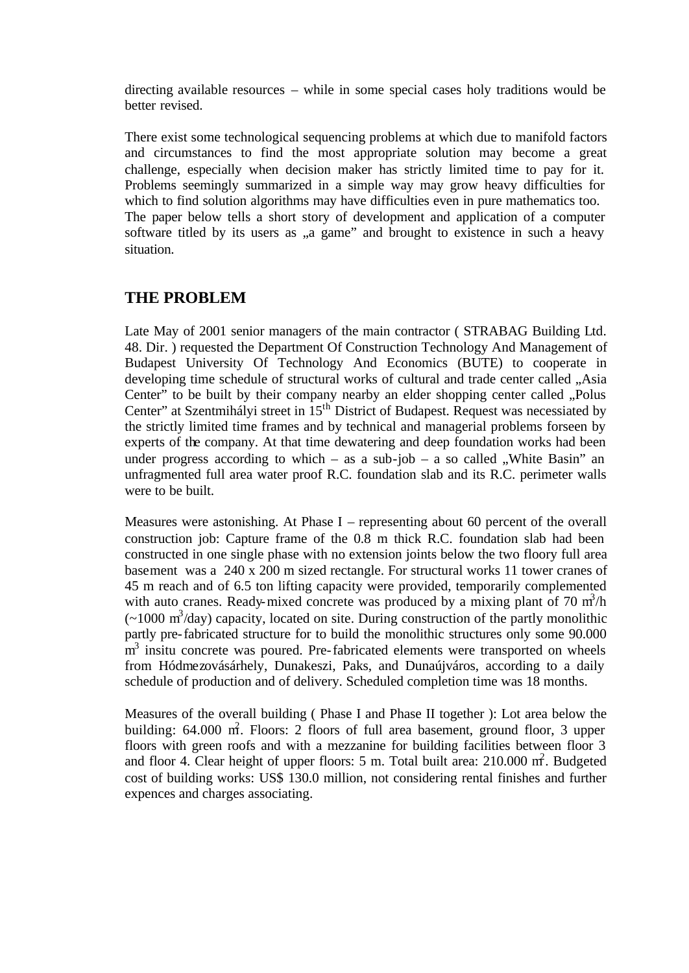directing available resources – while in some special cases holy traditions would be better revised.

There exist some technological sequencing problems at which due to manifold factors and circumstances to find the most appropriate solution may become a great challenge, especially when decision maker has strictly limited time to pay for it. Problems seemingly summarized in a simple way may grow heavy difficulties for which to find solution algorithms may have difficulties even in pure mathematics too. The paper below tells a short story of development and application of a computer software titled by its users as ,,a game" and brought to existence in such a heavy situation.

### **THE PROBLEM**

Late May of 2001 senior managers of the main contractor ( STRABAG Building Ltd. 48. Dir. ) requested the Department Of Construction Technology And Management of Budapest University Of Technology And Economics (BUTE) to cooperate in developing time schedule of structural works of cultural and trade center called "Asia Center" to be built by their company nearby an elder shopping center called "Polus Center" at Szentmihályi street in 15<sup>th</sup> District of Budapest. Request was necessiated by the strictly limited time frames and by technical and managerial problems forseen by experts of the company. At that time dewatering and deep foundation works had been under progress according to which – as a sub-job – a so called  $\mu$ . White Basin" an unfragmented full area water proof R.C. foundation slab and its R.C. perimeter walls were to be built.

Measures were astonishing. At Phase I – representing about 60 percent of the overall construction job: Capture frame of the 0.8 m thick R.C. foundation slab had been constructed in one single phase with no extension joints below the two floory full area basement was a 240 x 200 m sized rectangle. For structural works 11 tower cranes of 45 m reach and of 6.5 ton lifting capacity were provided, temporarily complemented with auto cranes. Ready-mixed concrete was produced by a mixing plant of 70  $m^3/h$  $\left(\sim\right.1000 \text{ m}^3/\text{day}\right)$  capacity, located on site. During construction of the partly monolithic partly pre-fabricated structure for to build the monolithic structures only some 90.000  $\overline{m}^3$  insitu concrete was poured. Pre-fabricated elements were transported on wheels from Hódmezovásárhely, Dunakeszi, Paks, and Dunaújváros, according to a daily schedule of production and of delivery. Scheduled completion time was 18 months.

Measures of the overall building ( Phase I and Phase II together ): Lot area below the building: 64.000 m<sup>2</sup>. Floors: 2 floors of full area basement, ground floor, 3 upper floors with green roofs and with a mezzanine for building facilities between floor 3 and floor 4. Clear height of upper floors: 5 m. Total built area:  $210.000$  m<sup>2</sup>. Budgeted cost of building works: US\$ 130.0 million, not considering rental finishes and further expences and charges associating.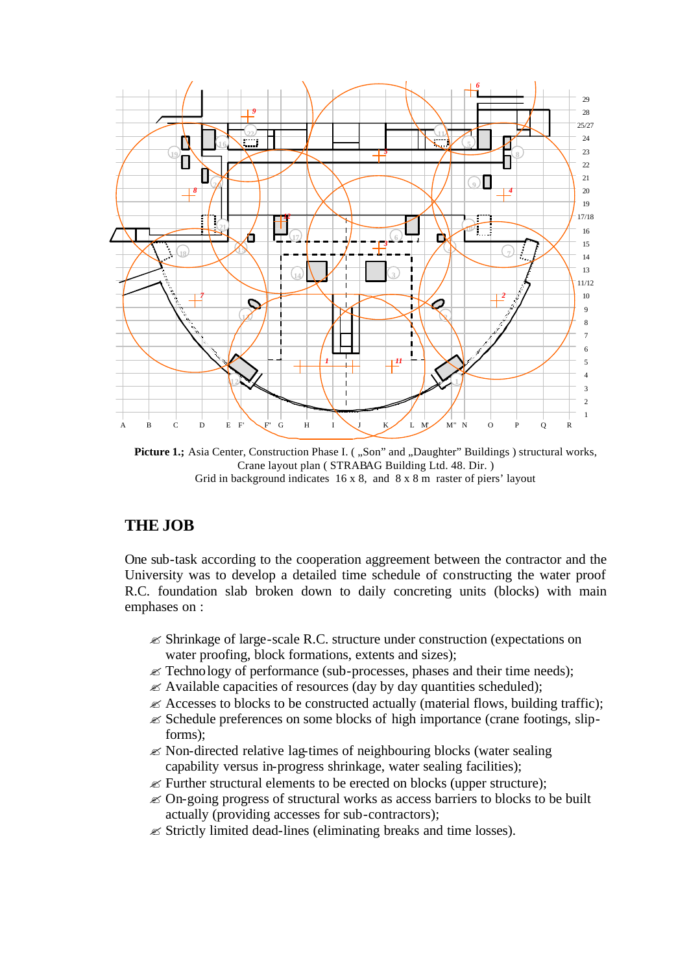

Picture 1.; Asia Center, Construction Phase I. ("Son" and "Daughter" Buildings) structural works, Crane layout plan ( STRABAG Building Ltd. 48. Dir. ) Grid in background indicates 16 x 8, and 8 x 8 m raster of piers' layout

## **THE JOB**

One sub-task according to the cooperation aggreement between the contractor and the University was to develop a detailed time schedule of constructing the water proof R.C. foundation slab broken down to daily concreting units (blocks) with main emphases on :

- $\mathscr{\mathscr{E}}$  Shrinkage of large-scale R.C. structure under construction (expectations on water proofing, block formations, extents and sizes);
- $\mathcal{L}$  Technology of performance (sub-processes, phases and their time needs);
- $\mathscr{\mathscr{L}}$  Available capacities of resources (day by day quantities scheduled);
- $\mathscr{\mathscr{L}}$  Accesses to blocks to be constructed actually (material flows, building traffic);
- $\mathscr{\mathscr{E}}$  Schedule preferences on some blocks of high importance (crane footings, slipforms);
- $\mathscr{\mathscr{L}}$  Non-directed relative lag-times of neighbouring blocks (water sealing capability versus in-progress shrinkage, water sealing facilities);
- $\mathscr{\mathscr{E}}$  Further structural elements to be erected on blocks (upper structure);
- $\mathcal Z$  On-going progress of structural works as access barriers to blocks to be built actually (providing accesses for sub-contractors);
- $\mathscr{\mathscr{E}}$  Strictly limited dead-lines (eliminating breaks and time losses).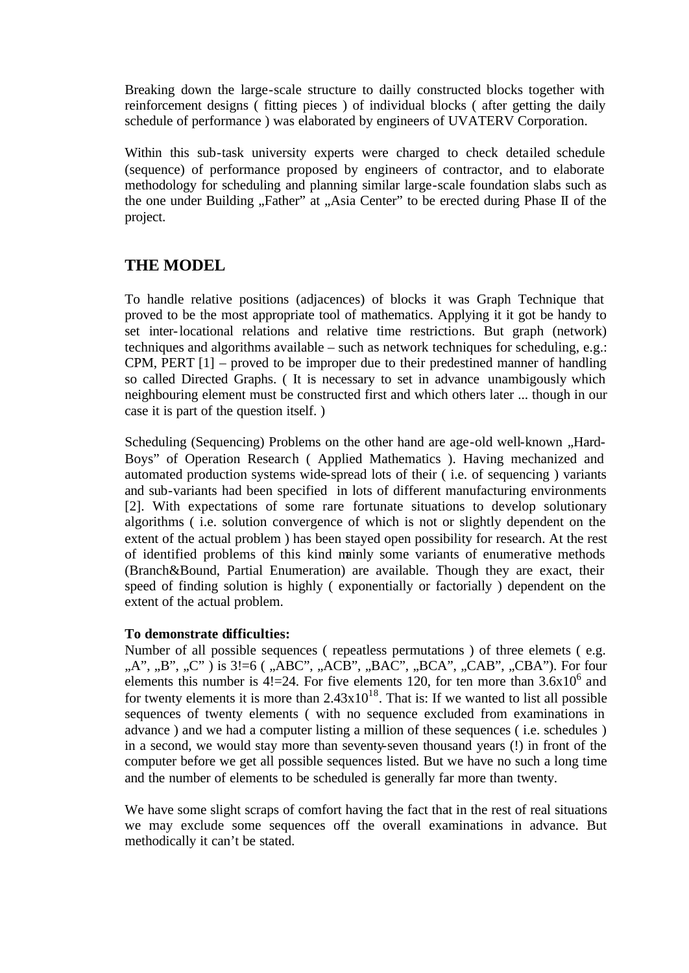Breaking down the large-scale structure to dailly constructed blocks together with reinforcement designs ( fitting pieces ) of individual blocks ( after getting the daily schedule of performance ) was elaborated by engineers of UVATERV Corporation.

Within this sub-task university experts were charged to check detailed schedule (sequence) of performance proposed by engineers of contractor, and to elaborate methodology for scheduling and planning similar large-scale foundation slabs such as the one under Building "Father" at "Asia Center" to be erected during Phase II of the project.

### **THE MODEL**

To handle relative positions (adjacences) of blocks it was Graph Technique that proved to be the most appropriate tool of mathematics. Applying it it got be handy to set inter-locational relations and relative time restrictions. But graph (network) techniques and algorithms available – such as network techniques for scheduling, e.g.: CPM, PERT [1] – proved to be improper due to their predestined manner of handling so called Directed Graphs. ( It is necessary to set in advance unambigously which neighbouring element must be constructed first and which others later ... though in our case it is part of the question itself. )

Scheduling (Sequencing) Problems on the other hand are age-old well-known , Hard-Boys" of Operation Research ( Applied Mathematics ). Having mechanized and automated production systems wide-spread lots of their ( i.e. of sequencing ) variants and sub-variants had been specified in lots of different manufacturing environments [2]. With expectations of some rare fortunate situations to develop solutionary algorithms ( i.e. solution convergence of which is not or slightly dependent on the extent of the actual problem ) has been stayed open possibility for research. At the rest of identified problems of this kind mainly some variants of enumerative methods (Branch&Bound, Partial Enumeration) are available. Though they are exact, their speed of finding solution is highly ( exponentially or factorially ) dependent on the extent of the actual problem.

#### **To demonstrate difficulties:**

Number of all possible sequences ( repeatless permutations ) of three elemets ( e.g. ,,A", ,,B", ,,C" ) is 3!=6 (,,ABC",,,ACB",,,BAC",,,BCA",,,CAB",,,CBA"). For four elements this number is  $4! = 24$ . For five elements 120, for ten more than  $3.6 \times 10^6$  and for twenty elements it is more than  $2.43 \times 10^{18}$ . That is: If we wanted to list all possible sequences of twenty elements ( with no sequence excluded from examinations in advance ) and we had a computer listing a million of these sequences ( i.e. schedules ) in a second, we would stay more than seventy-seven thousand years (!) in front of the computer before we get all possible sequences listed. But we have no such a long time and the number of elements to be scheduled is generally far more than twenty.

We have some slight scraps of comfort having the fact that in the rest of real situations we may exclude some sequences off the overall examinations in advance. But methodically it can't be stated.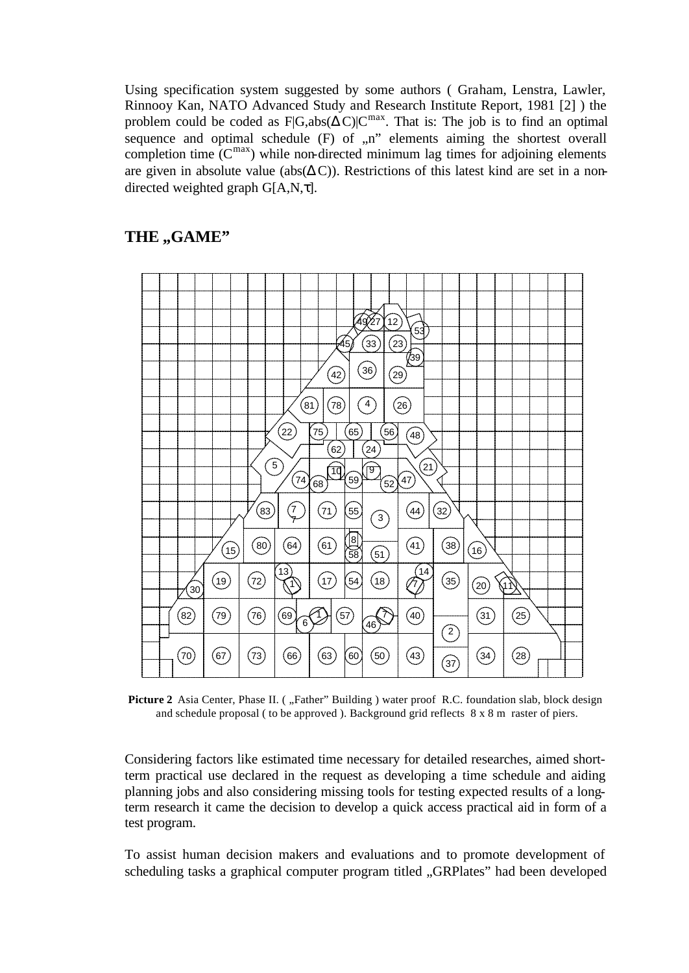Using specification system suggested by some authors ( Graham, Lenstra, Lawler, Rinnooy Kan, NATO Advanced Study and Research Institute Report, 1981 [2] ) the problem could be coded as  $F|G,abs($  C) $|C^{max}$ . That is: The job is to find an optimal sequence and optimal schedule  $(F)$  of  $n$ " elements aiming the shortest overall completion time  $(C^{max})$  while non-directed minimum lag times for adjoining elements are given in absolute value (abs( C)). Restrictions of this latest kind are set in a nondirected weighted graph G[A,N, ].

### **THE ,,GAME"**



**Picture 2** Asia Center, Phase II. ("Father" Building) water proof R.C. foundation slab, block design and schedule proposal ( to be approved ). Background grid reflects 8 x 8 m raster of piers.

Considering factors like estimated time necessary for detailed researches, aimed shortterm practical use declared in the request as developing a time schedule and aiding planning jobs and also considering missing tools for testing expected results of a longterm research it came the decision to develop a quick access practical aid in form of a test program.

To assist human decision makers and evaluations and to promote development of scheduling tasks a graphical computer program titled "GRPlates" had been developed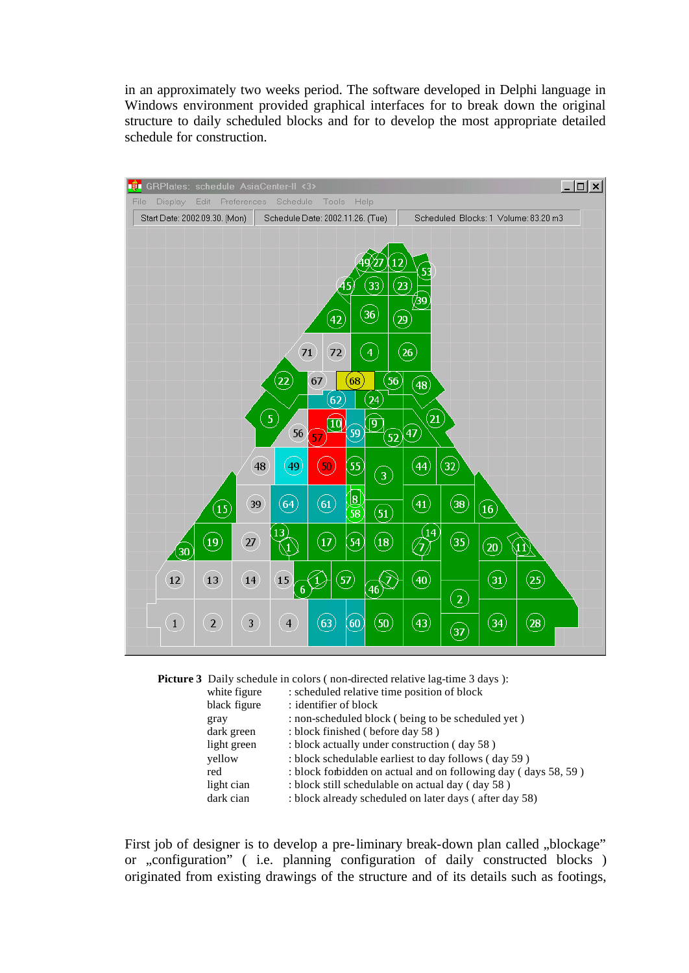in an approximately two weeks period. The software developed in Delphi language in Windows environment provided graphical interfaces for to break down the original structure to daily scheduled blocks and for to develop the most appropriate detailed schedule for construction.





| white figure | : scheduled relative time position of block                    |
|--------------|----------------------------------------------------------------|
| black figure | : identifier of block                                          |
| gray         | : non-scheduled block (being to be scheduled yet)              |
| dark green   | : block finished (before day 58)                               |
| light green  | : block actually under construction (day 58)                   |
| yellow       | : block schedulable earliest to day follows (day 59)           |
| red          | : block forbidden on actual and on following day (days 58, 59) |
| light cian   | : block still schedulable on actual day (day 58)               |
| dark cian    | : block already scheduled on later days (after day 58)         |
|              |                                                                |

First job of designer is to develop a pre-liminary break-down plan called "blockage" or "configuration" ( i.e. planning configuration of daily constructed blocks ) originated from existing drawings of the structure and of its details such as footings,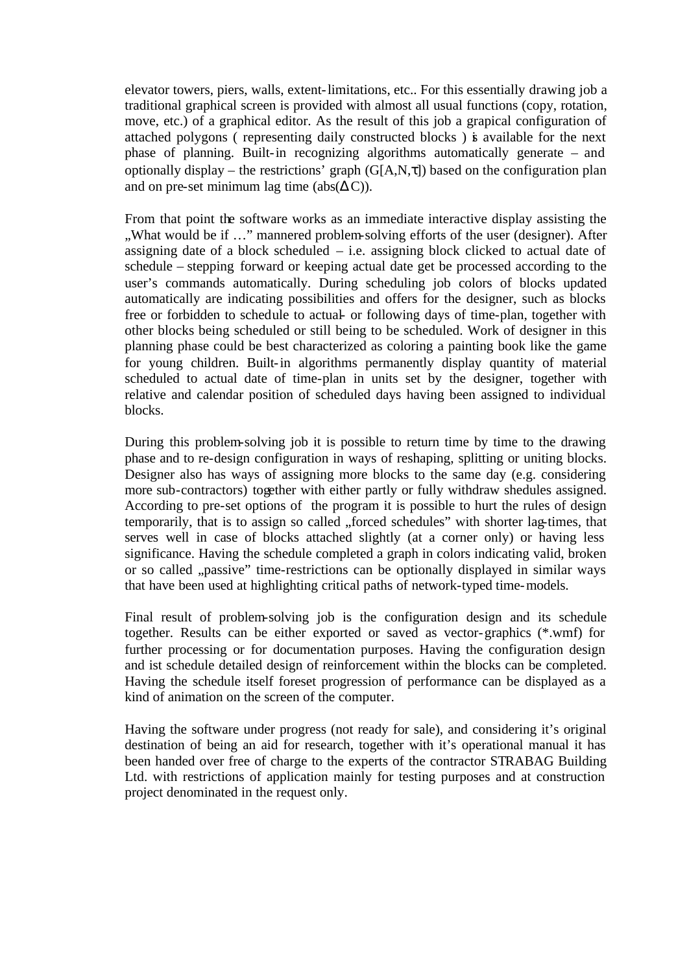elevator towers, piers, walls, extent-limitations, etc.. For this essentially drawing job a traditional graphical screen is provided with almost all usual functions (copy, rotation, move, etc.) of a graphical editor. As the result of this job a grapical configuration of attached polygons ( representing daily constructed blocks ) is available for the next phase of planning. Built-in recognizing algorithms automatically generate – and optionally display – the restrictions' graph  $(G[A,N,])$  based on the configuration plan and on pre-set minimum lag time (abs( C)).

From that point the software works as an immediate interactive display assisting the "What would be if ..." mannered problem-solving efforts of the user (designer). After assigning date of a block scheduled  $-$  i.e. assigning block clicked to actual date of schedule – stepping forward or keeping actual date get be processed according to the user's commands automatically. During scheduling job colors of blocks updated automatically are indicating possibilities and offers for the designer, such as blocks free or forbidden to schedule to actual- or following days of time-plan, together with other blocks being scheduled or still being to be scheduled. Work of designer in this planning phase could be best characterized as coloring a painting book like the game for young children. Built-in algorithms permanently display quantity of material scheduled to actual date of time-plan in units set by the designer, together with relative and calendar position of scheduled days having been assigned to individual blocks.

During this problem-solving job it is possible to return time by time to the drawing phase and to re-design configuration in ways of reshaping, splitting or uniting blocks. Designer also has ways of assigning more blocks to the same day (e.g. considering more sub-contractors) together with either partly or fully withdraw shedules assigned. According to pre-set options of the program it is possible to hurt the rules of design temporarily, that is to assign so called "forced schedules" with shorter lag-times, that serves well in case of blocks attached slightly (at a corner only) or having less significance. Having the schedule completed a graph in colors indicating valid, broken or so called "passive" time-restrictions can be optionally displayed in similar ways that have been used at highlighting critical paths of network-typed time-models.

Final result of problem-solving job is the configuration design and its schedule together. Results can be either exported or saved as vector-graphics (\*.wmf) for further processing or for documentation purposes. Having the configuration design and ist schedule detailed design of reinforcement within the blocks can be completed. Having the schedule itself foreset progression of performance can be displayed as a kind of animation on the screen of the computer.

Having the software under progress (not ready for sale), and considering it's original destination of being an aid for research, together with it's operational manual it has been handed over free of charge to the experts of the contractor STRABAG Building Ltd. with restrictions of application mainly for testing purposes and at construction project denominated in the request only.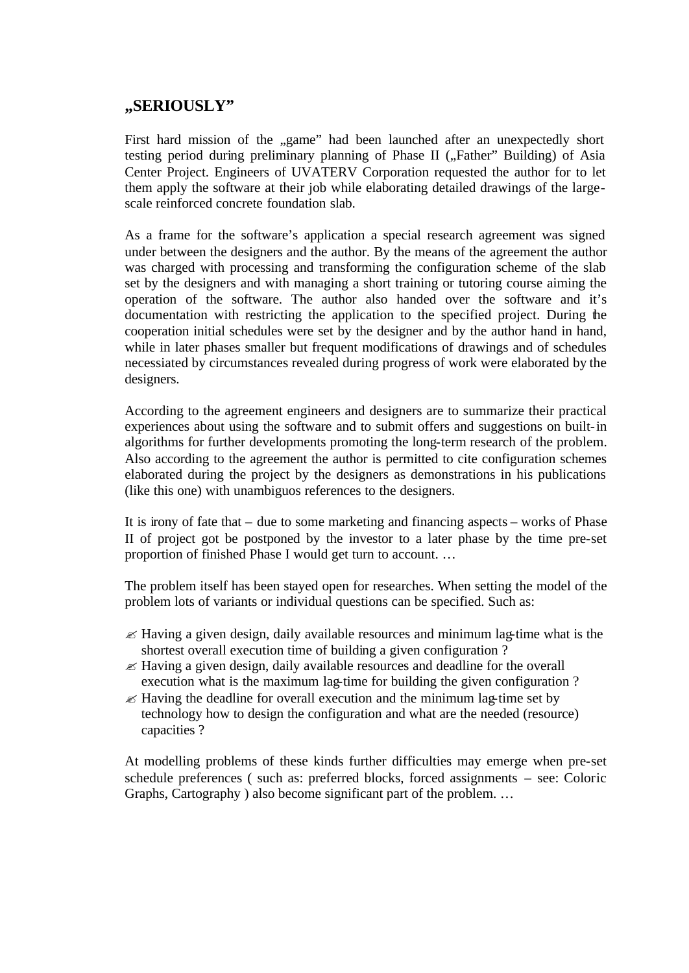### **"SERIOUSLY"**

First hard mission of the "game" had been launched after an unexpectedly short testing period during preliminary planning of Phase II ("Father" Building) of Asia Center Project. Engineers of UVATERV Corporation requested the author for to let them apply the software at their job while elaborating detailed drawings of the largescale reinforced concrete foundation slab.

As a frame for the software's application a special research agreement was signed under between the designers and the author. By the means of the agreement the author was charged with processing and transforming the configuration scheme of the slab set by the designers and with managing a short training or tutoring course aiming the operation of the software. The author also handed over the software and it's documentation with restricting the application to the specified project. During the cooperation initial schedules were set by the designer and by the author hand in hand, while in later phases smaller but frequent modifications of drawings and of schedules necessiated by circumstances revealed during progress of work were elaborated by the designers.

According to the agreement engineers and designers are to summarize their practical experiences about using the software and to submit offers and suggestions on built-in algorithms for further developments promoting the long-term research of the problem. Also according to the agreement the author is permitted to cite configuration schemes elaborated during the project by the designers as demonstrations in his publications (like this one) with unambiguos references to the designers.

It is irony of fate that – due to some marketing and financing aspects – works of Phase II of project got be postponed by the investor to a later phase by the time pre-set proportion of finished Phase I would get turn to account. …

The problem itself has been stayed open for researches. When setting the model of the problem lots of variants or individual questions can be specified. Such as:

- $\ll$  Having a given design, daily available resources and minimum lag-time what is the shortest overall execution time of building a given configuration ?
- $\mathscr{\mathscr{E}}$  Having a given design, daily available resources and deadline for the overall execution what is the maximum lag-time for building the given configuration ?
- $\mathscr{\mathscr{E}}$  Having the deadline for overall execution and the minimum lag-time set by technology how to design the configuration and what are the needed (resource) capacities ?

At modelling problems of these kinds further difficulties may emerge when pre-set schedule preferences ( such as: preferred blocks, forced assignments – see: Coloric Graphs, Cartography ) also become significant part of the problem. …